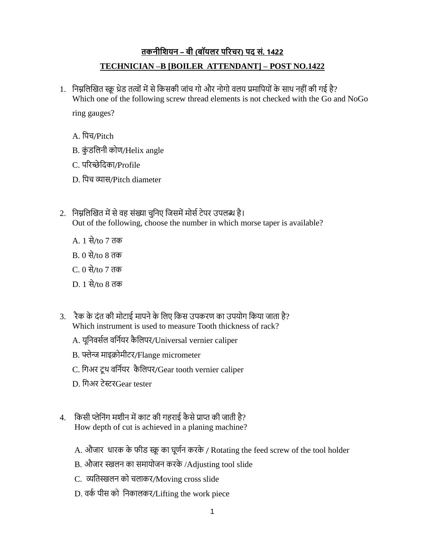### **तकनीशियन – बी (बॉयलर पररचर) पद सं. 1422**

#### **TECHNICIAN –B [BOILER ATTENDANT] – POST NO.1422**

- 1. निम्नलिखित स्क्रू थ्रेड तत्वों में से किसकी जांच गो और नोगो वलय प्रमापियों के साथ नहीं की गई है? Which one of the following screw thread elements is not checked with the Go and NoGo ring gauges?
	- A. निच/Pitch
	- B. कुंडलिनी कोण/Helix angle
	- C. परिच्छेदिका/Profile
	- D. पिच व्यास/Pitch diameter
- 2. निम्नलिखित में से वह संख्या चुनिए जिसमें मोर्स टेपर उपलब्ध है। Out of the following, choose the number in which morse taper is available?
	- A. 1 से/to 7 ति
	- B. 0 से/to 8 ति
	- C. 0 से/to 7 ति
	- D. 1 से/to 8 ति
- 3. रैक के दंत की मोटाई मापने के लिए किस उपकरण का उपयोग किया जाता है? Which instrument is used to measure Tooth thickness of rack?
	- A. यूनिवर्सल वर्नियर कैलिपर/Universal vernier caliper
	- B. फ्लेन्ज माइक्रोमीटर/Flange micrometer
	- C. गिअर ट्रथ वर्नियर कैलिपर/Gear tooth vernier caliper
	- D. नगअर टेस्टरGear tester
- 4. किसी प्लेनिंग मशीन में काट की गहराई कैसे प्राप्त की जाती है? How depth of cut is achieved in a planing machine?
	- A. औजार धारक के फीड स्क्रू का घूर्णन करके / Rotating the feed screw of the tool holder
	- B. औजार स्खलन का समायोजन करके /Adjusting tool slide
	- C. व्यतिस्खलन को चलाकर/Moving cross slide
	- D. वर्क पीस को निकालकर/Lifting the work piece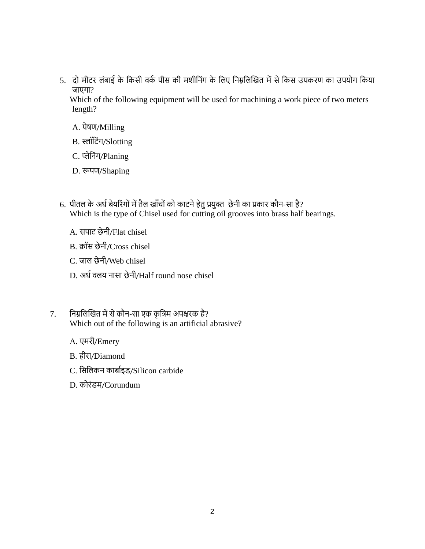5. दो मीटर लंबाई के किसी वर्क पीस की मशीनिंग के लिए निम्नलिखित में से किस उपकरण का उपयोग किया जाएगा $?$ 

Which of the following equipment will be used for machining a work piece of two meters length?

- A. पेषण/Milling
- B. स्लॉटिंग/Slotting
- C. प्लेनिोंग/Planing
- D. रूिण/Shaping
- 6. पीतल के अर्ध बेयरिंगों में तैल खाँचों को काटने हेतु प्रयुक्त छेनी का प्रकार कौन-सा है? Which is the type of Chisel used for cutting oil grooves into brass half bearings.
	- A. सपाट छेनी/Flat chisel
	- B. क्रॉस छेनी/Cross chisel
	- C. जाल छेनी/Web chisel
	- D. अर्ध वलय नासा छेनी/Half round nose chisel
- 7. निम्नलिखित में से कौन-सा एक कृत्रिम अपक्षरक है? Which out of the following is an artificial abrasive?
	- A. एमरी/Emery
	- B. हीरा/Diamond
	- C. सिलिकन कार्बाइड/Silicon carbide
	- D. िवरोंडम/Corundum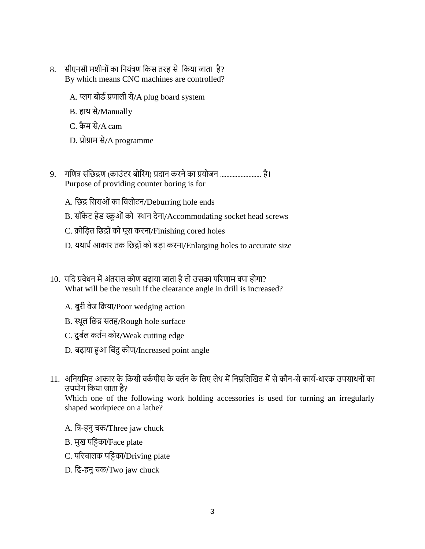- 8. सीएनसी मशीनों का नियंत्रण किस तरह से किया जाता है? By which means CNC machines are controlled?
	- A. प्लग बोर्ड प्रणाली से/A plug board system
	- B. हाथ से/Manually
	- C. कैम से/A cam
	- D. प्रोग्राम से/A programme
- 9. गणित्र संछिद्रण (काउंटर बोरिंग) प्रदान करने का प्रयोजन ........................... है। Purpose of providing counter boring is for
	- A. छिद्र सिराओं का विलोटन/Deburring hole ends
	- B. सॉकेट हेड स्क्रूओं को स्थान देना/Accommodating socket head screws
	- C. क्रोड़ित छिद्रों को पूरा करना/Finishing cored holes
	- D. यथार्थ आकार तक छिद्रों को बड़ा करना/Enlarging holes to accurate size
- 10. यदि प्रवेधन में अंतराल कोण बढाया जाता है तो उसका परिणाम क्या होगा? What will be the result if the clearance angle in drill is increased?
	- A. बुरी वेज क्रिया/Poor wedging action
	- B. स्थूल छिद्र सतह/Rough hole surface
	- C. दुर्बल कर्तन कोर/Weak cutting edge
	- D. बढ़ाया हुआ बिंदु कोण/Increased point angle
- 11. अनियमित आकार के किसी वर्कपीस के वर्तन के लिए लेथ में निम्नलिखित में से कौन-से कार्य-धारक उपसाधनों का उपयोग किया जाता है?

Which one of the following work holding accessories is used for turning an irregularly shaped workpiece on a lathe?

- A. त्रि-हनु चक/Three jaw chuck
- B. मुख पट्टिका/Face plate
- C. परिचालक पट्टिका/Driving plate
- D. नि-हि चि/Two jaw chuck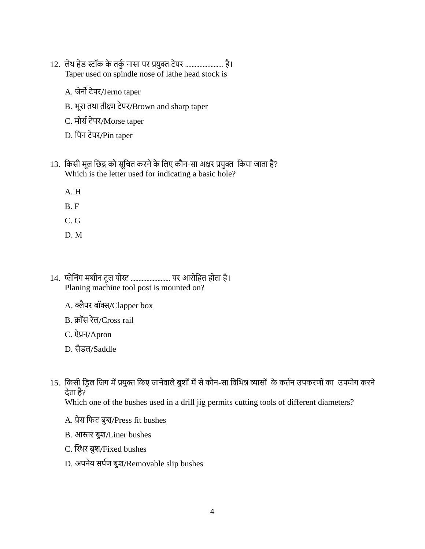- 12. लेथ हेड स्टॉक के तर्कु नासा पर प्रयुक्त टेपर .......................... है। Taper used on spindle nose of lathe head stock is
	- A. जेर्नो टेपर/Jerno taper
	- B. भूरा तथा तीक्ष्ण टेपर/Brown and sharp taper
	- C. मोर्स टेपर/Morse taper
	- D. पिन टेपर/Pin taper
- 13. किसी मूल छिद्र को सूचित करने के लिए कौन-सा अक्षर प्रयुक्त किया जाता है? Which is the letter used for indicating a basic hole?
	- A. H
	- B. F
	- C. G
	- D. M
- 14. प्लेनिंग मशीन टूल पोस्ट ............................ पर आरोहित होता है। Planing machine tool post is mounted on?
	- A. क्लैपर बॉक्स/Clapper box
	- B. क्रॉस रेल/Cross rail
	- C. ऐप्रि/Apron
	- D. सैडल/Saddle
- 15. किसी ड्रिल जिग में प्रयुक्त किए जानेवाले बुशों में से कौन-सा विभिन्न व्यासों के कर्तन उपकरणों का उपयोग करने देता है?

Which one of the bushes used in a drill jig permits cutting tools of different diameters?

- A. प्रेस फिट बुश/Press fit bushes
- B. आस्तर बुश/Liner bushes
- C. स्थिर बुश/Fixed bushes
- D. अपनेय सर्पण बुश/Removable slip bushes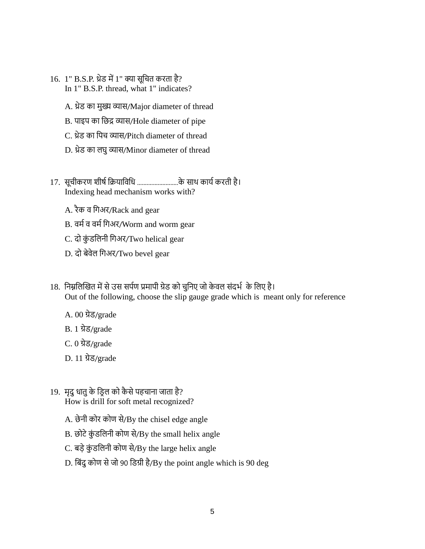- 16. 1" B.S.P. थ्रेड में 1" क्या सूचित करता है? In 1" B.S.P. thread, what 1" indicates?
	- A. थ्रेड का मुख्य व्यास/Major diameter of thread
	- B. पाइप का छिद्र व्यास/Hole diameter of pipe
	- C. थ्रेड का पिच व्यास/Pitch diameter of thread
	- D. थ्रेड का लघु व्यास/Minor diameter of thread
- 17. सूचीिरण शीषस नक्रय नवनध ..........................िे स थ ि यस िरती है। Indexing head mechanism works with?
	- A. रैक व गिअर/Rack and gear
	- B. वर्म व वर्म गिअर/Worm and worm gear
	- C. दो कुंडलिनी गिअर/Two helical gear
	- D. दो बेवेल गिअर/Two bevel gear
- 18. निम्नलिखित में से उस सर्पण प्रमापी ग्रेड को चुनिए जो केवल संदर्भ के लिए है। Out of the following, choose the slip gauge grade which is meant only for reference
	- A. 00 ग्रेड/grade
	- B. 1 ग्रेड/grade
	- C. 0 ग्रेड/grade
	- D. 11 ग्रेड/grade
- 19. मृदु धातु के ड़िल को कैसे पहचाना जाता है? How is drill for soft metal recognized?
	- A. छेनी कोर कोण से/By the chisel edge angle
	- $B.$  छोटे कुंडलिनी कोण से/By the small helix angle
	- C. बड़े कुंडलिनी कोण से/By the large helix angle
	- D. बिंदु कोण से जो 90 डिग्री है/By the point angle which is 90 deg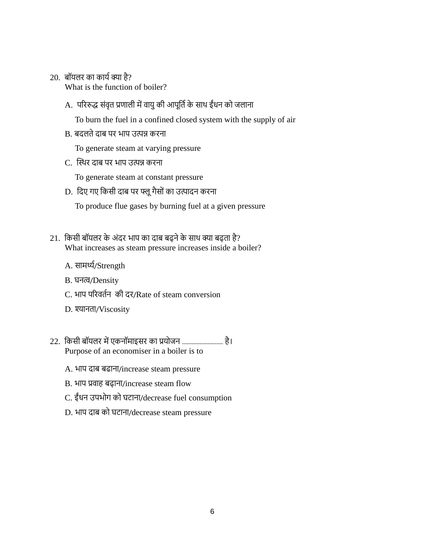- $20.$  बॉयलर का कार्य क्या है? What is the function of boiler?
	- A. परिरुद्ध संवृत प्रणाली में वायु की आपूर्ति के साथ ईंधन को जलाना

To burn the fuel in a confined closed system with the supply of air

B. बदलते दाब पर भाप उत्पन्न करना

To generate steam at varying pressure

C. स्थिर दाब पर भाप उत्पन्न करना

To generate steam at constant pressure

D. दिए गए किसी दाब पर फ्लू गैसों का उत्पादन करना

To produce flue gases by burning fuel at a given pressure

- 21. किसी बॉयलर के अंदर भाप का दाब बढने के साथ क्या बढता है? What increases as steam pressure increases inside a boiler?
	- A. सामर्थ्य/Strength
	- B. घित्/Density
	- C. भाप परिवर्तन की दर/Rate of steam conversion
	- D. श्यानता/Viscosity
- 22. किसी बॉयलर में एकनॉमाइसर का प्रयोजन ........................... है। Purpose of an economiser in a boiler is to
	- A. भाप दाब बढाना/increase steam pressure
	- B. भाप प्रवाह बढ़ाना/increase steam flow
	- C. ईंधन उपभोग को घटाना/decrease fuel consumption
	- D. भाप दाब को घटाना/decrease steam pressure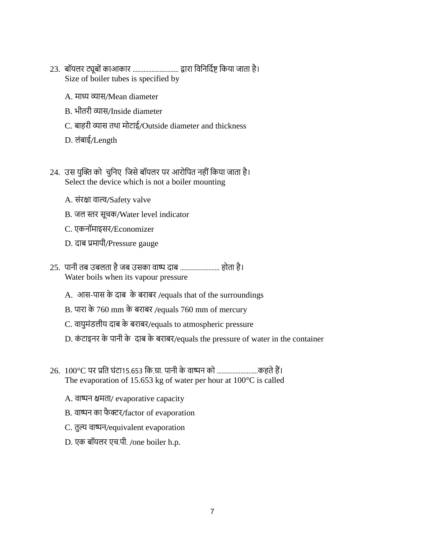- 23. बॉयिर ट्यूबवों ि आि र ............................. ि र नवनिनिसष्ट निय ज त है। Size of boiler tubes is specified by
	- A. माध्य व्यास/Mean diameter
	- B. भीतरी व्यास/Inside diameter
	- C. बाहरी व्यास तथा मोटाई/Outside diameter and thickness
	- D. लंबाई/Length
- 24. उस युक्ति को चुनिए जिसे बॉयलर पर आरोपित नहीं किया जाता है। Select the device which is not a boiler mounting
	- A. संरक्षा वाल्व/Safety valve
	- B. जल स्तर सूचक/Water level indicator
	- C. एकनॉमाइसर/Economizer
	- D. दाब प्रमापी/Pressure gauge
- 25. पानी तब उबलता है जब उसका वाष्प दाब ............................ होता है। Water boils when its vapour pressure
	- A. आस-पास के दाब के बराबर /equals that of the surroundings
	- B. पारा के 760 mm के बराबर /equals 760 mm of mercury
	- C. वायुमंडलीय दाब के बराबर/equals to atmospheric pressure
	- D. कंटाइनर के पानी के दाब के बराबर/equals the pressure of water in the container
- 26. 100°C िर प्रनत घोंट 15.653 नि.ग्र . ि िी िे व ष्पि िव ..........................िहते हैं। The evaporation of 15.653 kg of water per hour at 100°C is called
	- A. वाष्पन क्षमता/ evaporative capacity
	- B. वाष्पन का फैक्टर/factor of evaporation
	- C. तुल्य वाष्पन/equivalent evaporation
	- D. एि बॉयिर एच.िी. /one boiler h.p.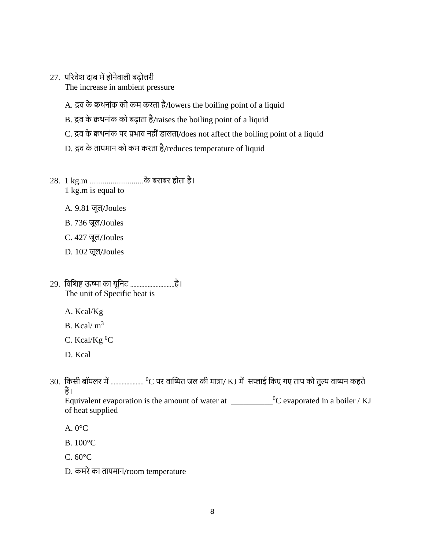27. परिवेश दाब में होनेवाली बढोत्तरी

The increase in ambient pressure

- A. द्रव के कथनांक को कम करता है/lowers the boiling point of a liquid
- B. द्रव के कथनांक को बढ़ाता है/raises the boiling point of a liquid
- C. द्रव के कथनांक पर प्रभाव नहीं डालता/does not affect the boiling point of a liquid
- D. द्रव के तापमान को कम करता है/reduces temperature of liquid
- 28. 1 kg.m ..........................िे बर बर हवत है। 1 kg.m is equal to
	- A. 9.81 जूल/Joules
	- B. 736 जूि/Joules
	- C. 427 जूि/Joules
	- D. 102 जूि/Joules
- 29. विशिष्ट ऊष्मा का यूनिट ..............................है। The unit of Specific heat is
	- A. Kcal/Kg
	- B. Kcal/ $m<sup>3</sup>$
	- C. Kcal/Kg $^0C$
	- D. Kcal
- 30. किसी बॉयलर में ..................... <sup>0</sup>C पर वाष्पित जल की मात्रा/ KJ में सप्लाई किए गए ताप को तुल्य वाष्पन कहते हैं।

Equivalent evaporation is the amount of water at \_\_\_\_\_\_\_\_\_\_\_<sup>0</sup>C evaporated in a boiler / KJ of heat supplied

- A.  $0^{\circ}$ C.
- B. 100°C
- C. 60°C
- D. कमरे का तापमान/room temperature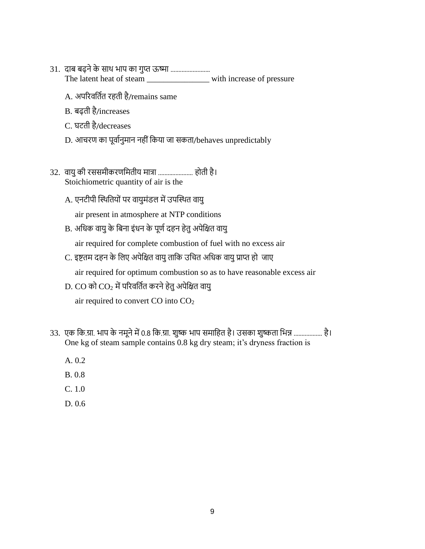- 31. दाब बढ़ने के साथ भाप का गुप्त ऊष्मा ........................... The latent heat of steam \_\_\_\_\_\_\_\_\_\_\_\_\_\_\_\_\_ with increase of pressure
	- A. अपरिवर्तित रहती है/remains same
	- B. बढती है/increases
	- C. घटती है/decreases
	- D. आचरण का पूर्वानुमान नहीं किया जा सकता/behaves unpredictably
- 32. वायु की रससमीकरणमितीय मात्रा ........................ होती है। Stoichiometric quantity of air is the
	- A. एनटीपी स्थितियों पर वायुमंडल में उपस्थित वायु

air present in atmosphere at NTP conditions

B. अधिक वायु के बिना इंधन के पूर्ण दहन हेतु अपेक्षित वायु

air required for complete combustion of fuel with no excess air

C. इष्टतम दहन के लिए अपेक्षित वायु ताकि उचित अधिक वायु प्राप्त हो जाए

air required for optimum combustion so as to have reasonable excess air

D. CO को CO2 में परिवर्तित करने हेतु अपेक्षित वायु

air required to convert CO into CO<sup>2</sup>

- 33. एक कि.ग्रा. भाप के नमूने में 0.8 कि.ग्रा. शुष्क भाप समाहित है। उसका शुष्कता भिन्न .................. है। One kg of steam sample contains 0.8 kg dry steam; it's dryness fraction is
	- A. 0.2
	- B. 0.8
	- C. 1.0
	- D. 0.6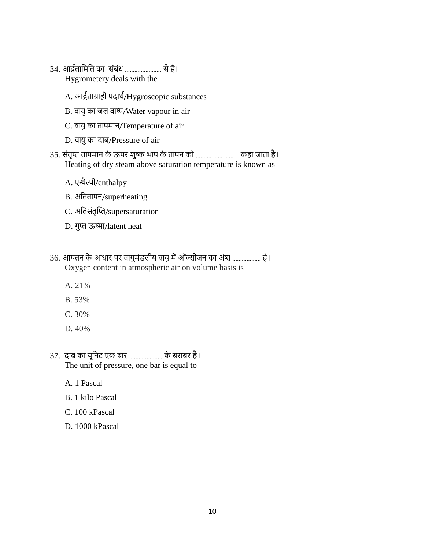- 34. आर्द्रतामिति का संबंध ........................... से है। Hygrometery deals with the
	- A. आर्द्रताग्राही पदार्थ/Hygroscopic substances
	- B. वायु का जल वाष्प/Water vapour in air
	- C. वायु का तापमान/Temperature of air
	- D. वायु का दाब/Pressure of air
- 35. संतृप्त तापमान के ऊपर शुष्क भाप के तापन को .................................. कहा जाता है। Heating of dry steam above saturation temperature is known as
	- A. एन्थैल्पी/enthalpy
	- B. अतितापन/superheating
	- C. अतिसंतृप्ति/supersaturation
	- D. गुप्त ऊष्मा/latent heat
- 36. आयतन के आधार पर वायुमंडलीय वायु में ऑक्सीजन का अंश ................... है। Oxygen content in atmospheric air on volume basis is
	- A. 21%
	- B. 53%
	- C. 30%
	- D. 40%
- 37. दाब का यूनिट एक बार ...................... के बराबर है। The unit of pressure, one bar is equal to
	- A. 1 Pascal
	- B. 1 kilo Pascal
	- C. 100 kPascal
	- D. 1000 kPascal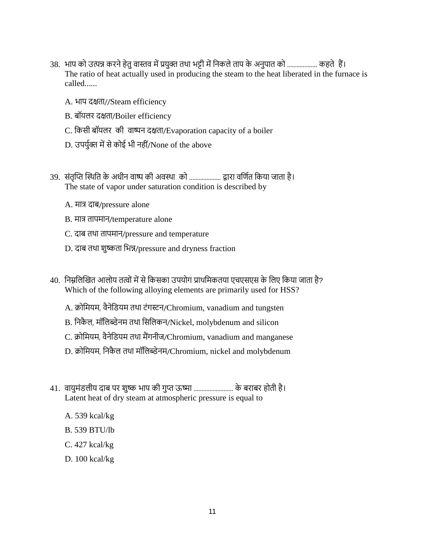- 38. भाप को उत्पन्न करने हेतु वास्तव में प्रयुक्त तथा भट्टी में निकले ताप के अनुपात को .................... कहते हैं। The ratio of heat actually used in producing the steam to the heat liberated in the furnace is called......
	- A. भाप दक्षता//Steam efficiency
	- B. बॉयलर दक्षता/Boiler efficiency
	- C. किसी बॉयलर की वाष्पन दक्षता/Evaporation capacity of a boiler
	- D. उपर्युक्त में से कोई भी नहीं/None of the above
- 39. संतुप्ति स्थिति के अधीन वाष्प की अवस्था को ...................... द्वारा वर्णित किया जाता है। The state of vapor under saturation condition is described by
	- A. मात्र दाब/pressure alone
	- B. मात्र तापमान/temperature alone
	- C. दाब तथा तापमान/pressure and temperature
	- D. दाब तथा शुष्कता भिन्न/pressure and dryness fraction
- 40. निम्नलिखित आलोय तत्वों में से किसका उपयोग प्राथमिकतया एचएसएस के लिए किया जाता है? Which of the following alloying elements are primarily used for HSS?
	- A. क्रोमियम, वैनेडियम तथा टंगस्टन/Chromium, vanadium and tungsten
	- B. निकैल, मॉलिब्डेनम तथा सिलिकन/Nickel, molybdenum and silicon
	- C. क्रोमियम, वैनेडियम तथा मैंगनीज/Chromium, vanadium and manganese
	- D. क्रोमियम, निकैल तथा मॉलिब्डेनम/Chromium, nickel and molybdenum
- 41. वायुमंडलीय दाब पर शुष्क भाप की गुप्त ऊष्मा .......................... के बराबर होती है। Latent heat of dry steam at atmospheric pressure is equal to
	- A. 539 kcal/kg
	- B. 539 BTU/lb
	- C. 427 kcal/kg
	- D. 100 kcal/kg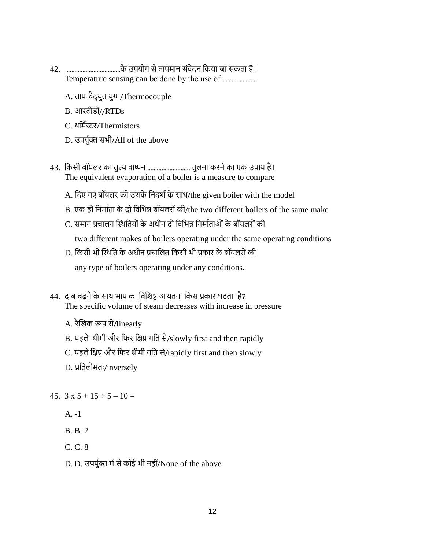- 42. ..................................िे उियवग से त िम ि सोंवेिि निय ज सित है। Temperature sensing can be done by the use of ………….
	- A. ताप-वैदयुत युग्म/Thermocouple
	- B. आरटीडी//RTDs
	- C. थर्मिस्टर/Thermistors
	- D. उपर्युक्त सभी/All of the above
- 43. किसी बॉयलर का तुल्य वाष्पन ............................ तुलना करने का एक उपाय है। The equivalent evaporation of a boiler is a measure to compare
	- A. दिए गए बॉयलर की उसके निदर्श के साथ/the given boiler with the model
	- B. एक ही निर्माता के दो विभिन्न बॉयलरों की/the two different boilers of the same make
	- C. समान प्रचालन स्थितियों के अधीन दो विभिन्न निर्माताओं के बॉयलरों की two different makes of boilers operating under the same operating conditions
	- D. किसी भी स्थिति के अधीन प्रचालित किसी भी प्रकार के बॉयलरों की

any type of boilers operating under any conditions.

- 44. दाब बढने के साथ भाप का विशिष्ट आयतन किस प्रकार घटता है? The specific volume of steam decreases with increase in pressure
	- A. रैखिक रूप से/linearly
	- B. पहले धीमी और फिर क्षिप्र गति से/slowly first and then rapidly
	- C. पहले क्षिप्र और फिर धीमी गति से/rapidly first and then slowly
	- D. प्रनतिवमतः/inversely

## 45.  $3 \times 5 + 15 \div 5 - 10 =$

- $A. -1$
- B. B. 2
- C. C. 8
- D. D. उपर्युक्त में से कोई भी नहीं/None of the above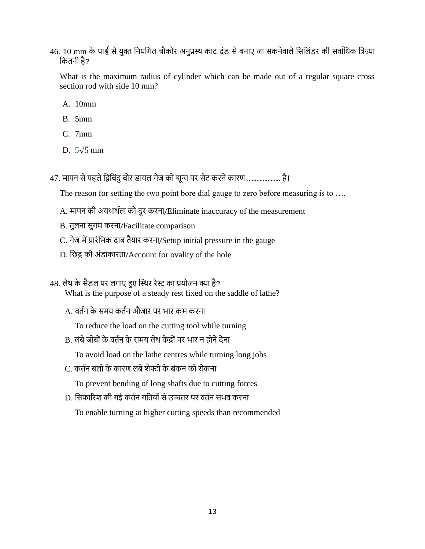46. 10 mm के पार्श्व से युक्त नियमित चौकोर अनुप्रस्थ काट दंड से बनाए जा सकनेवाले सिलिंडर की सर्वाधिक त्रिज्या नितिी है?

What is the maximum radius of cylinder which can be made out of a regular square cross section rod with side 10 mm?

- A. 10mm
- B. 5mm
- C. 7mm
- D.  $5\sqrt{5}$  mm
- 47. मापन से पहले द्विबिंदु बोर डायल गेज को शून्य पर सेट करने कारण ..................... है।

The reason for setting the two point bore dial gauge to zero before measuring is to ....

- A. मापन की अयथार्थता को दूर करना/Eliminate inaccuracy of the measurement
- B. तुलना सुगम करना/Facilitate comparison
- C. गेज में प्रारंभिक दाब तैयार करना/Setup initial pressure in the gauge
- D. छिद्र की अंडाकारता/Account for ovality of the hole

## 48. लेथ के सैडल पर लगाए हुए स्थिर रेस्ट का प्रयोजन क्या है?

What is the purpose of a steady rest fixed on the saddle of lathe?

A. वर्तन के समय कर्तन औजार पर भार कम करना

To reduce the load on the cutting tool while turning

B. लंबे जोबों के वर्तन के समय लेथ केंद्रों पर भार न होने देना

To avoid load on the lathe centres while turning long jobs

C. कर्तन बलों के कारण लंबे शैफ्टों के बंकन को रोकना

To prevent bending of long shafts due to cutting forces

D. सिफारिश की गई कर्तन गतियों से उच्चतर पर वर्तन संभव करना

To enable turning at higher cutting speeds than recommended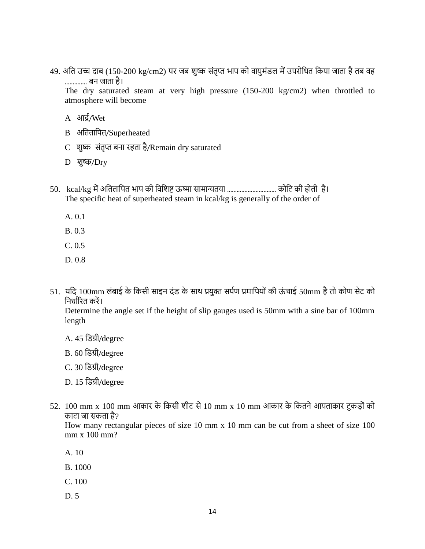49. अति उच्च दाब (150-200 kg/cm2) पर जब शुष्क संतृप्त भाप को वायुमंडल में उपरोधित किया जाता है तब वह .............. बन जाता है।

The dry saturated steam at very high pressure (150-200 kg/cm2) when throttled to atmosphere will become

- $A \sqrt{3}$ अर्दि/Wet
- B अतितापित/Superheated
- C शुष्क संतृप्त बना रहता है/Remain dry saturated
- D शुष्क/Dry
- 50. kcal/kg में अनतत नित भ ि िी नवनशष्ट ऊष्म स म न्यतय ............................... िवनट िी हवती है। The specific heat of superheated steam in kcal/kg is generally of the order of
	- A. 0.1
	- B. 0.3
	- C. 0.5
	- D. 0.8
- 51. यदि 100mm लंबाई के किसी साइन दंड के साथ प्रयुक्त सर्पण प्रमापियों की ऊंचाई 50mm है तो कोण सेट को निर्धारित करें।

Determine the angle set if the height of slip gauges used is 50mm with a sine bar of 100mm length

- A. 45 नडग्री/degree
- B. 60 नडग्री/degree
- C. 30 नडग्री/degree
- D. 15 नडग्री/degree
- 52. 100 mm x 100 mm आकार के किसी शीट से 10 mm x 10 mm आकार के कितने आयताकार टुकड़ों को काटा जा सकता है?

How many rectangular pieces of size 10 mm x 10 mm can be cut from a sheet of size 100 mm x 100 mm?

- A. 10
- B. 1000
- C. 100
- D. 5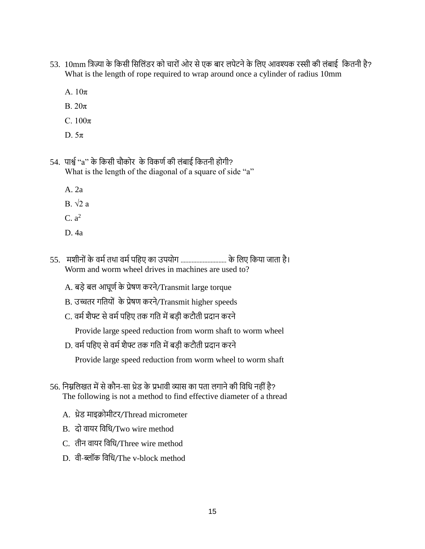- 53. 10mm त्रिज्या के किसी सिलिंडर को चारों ओर से एक बार लपेटने के लिए आवश्यक रस्सी की लंबाई कितनी है? What is the length of rope required to wrap around once a cylinder of radius 10mm
	- A.  $10\pi$
	- B. 20π
	- C.  $100\pi$
	- D.  $5\pi$

54. पार्श्व ''a'' के किसी चौकोर के विकर्ण की लंबाई कितनी होगी? What is the length of the diagonal of a square of side "a"

- A. 2a
- B.  $\sqrt{2}$  a
- $C. a<sup>2</sup>$
- D. 4a
- 55. मशीनों के वर्म तथा वर्म पहिए का उपयोग ................................ के लिए किया जाता है। Worm and worm wheel drives in machines are used to?
	- A. बड़े बल आघूर्ण के प्रेषण करने/Transmit large torque
	- B. उच्चतर गतियों के प्रेषण करने/Transmit higher speeds
	- C. वर्म शैफ्ट से वर्म पहिए तक गति में बड़ी कटौती प्रदान करने

Provide large speed reduction from worm shaft to worm wheel

D. वर्म पहिए से वर्म शैफ्ट तक गति में बड़ी कटौती प्रदान करने

Provide large speed reduction from worm wheel to worm shaft

- 56. निम्नलिखत में से कौन-सा थ्रेड के प्रभावी व्यास का पता लगाने की विधि नहीं है? The following is not a method to find effective diameter of a thread
	- A. थ्रेड माइक्रोमीटर/Thread micrometer
	- B. दो वायर विधि/Two wire method
	- C. तीन वायर विधि/Three wire method
	- D. वी-ब्लॉक विधि/The v-block method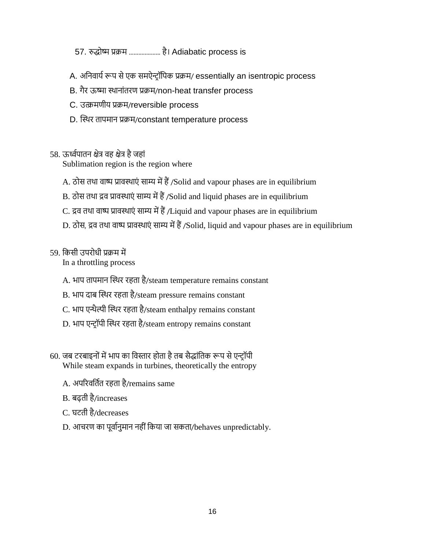57. रुद्धवष्म प्रक्रम .................... है। Adiabatic process is

- A. अनिवार्य रूप से एक समऐन्ट्रॉपिक प्रक्रम/ essentially an isentropic process
- B. गैर ऊष्मा स्थानांतरण प्रक्रम/non-heat transfer process
- C. उत्क्रमणीय प्रक्रम/reversible process
- D. स्थिर तापमान प्रक्रम/constant temperature process

#### 58. ऊर्ध्वपातन क्षेत्र वह क्षेत्र है जहां

Sublimation region is the region where

- A. ठोस तथा वाष्प प्रावस्थाएं साम्य में हैं /Solid and vapour phases are in equilibrium
- B. ठोस तथा द्रव प्रावस्थाएं साम्य में हैं /Solid and liquid phases are in equilibrium
- C. द्रव तथा वाष्प प्रावस्थाएं साम्य में हैं /Liquid and vapour phases are in equilibrium
- D. ठोस, द्रव तथा वाष्प प्रावस्थाएं साम्य में हैं /Solid, liquid and vapour phases are in equilibrium

#### 59. निसी उिरवधी प्रक्रम में

In a throttling process

- A. भाप तापमान स्थिर रहता है/steam temperature remains constant
- B. भाप दाब स्थिर रहता है/steam pressure remains constant
- C. भाप एन्थैल्पी स्थिर रहता है/steam enthalpy remains constant
- D. भाप एन्ट्रॉपी स्थिर रहता है/steam entropy remains constant
- 60. जब टरबाइनों में भाप का विस्तार होता है तब सैद्धांतिक रूप से एन्ट्रॉपी While steam expands in turbines, theoretically the entropy
	- A. अपरिवर्तित रहता है/remains same
	- B. बढती है/increases
	- C. घटती है/decreases
	- D. आचरण का पूर्वानुमान नहीं किया जा सकता/behaves unpredictably.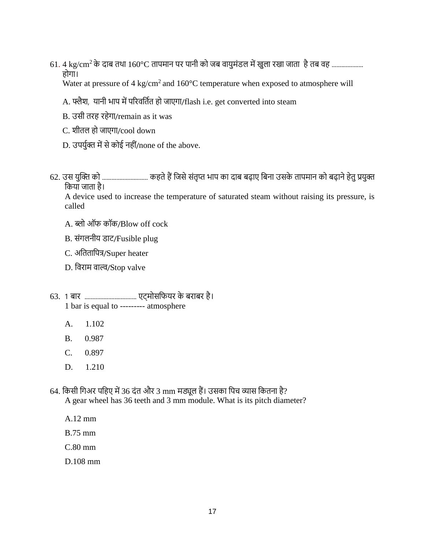61. 4 kg/cm<sup>2</sup> के दाब तथा 160°C तापमान पर पानी को जब वायुमंडल में खुला रखा जाता है तब वह ..................... होगा।

Water at pressure of  $4 \text{ kg/cm}^2$  and  $160^{\circ}$ C temperature when exposed to atmosphere will

- A. फ्लैश, यानी भाप में परिवर्तित हो जाएगा/flash i.e. get converted into steam
- B. उसी तरह रहेगा/remain as it was
- C. शीतल हो जाएगा/cool down
- D. उपर्युक्त में से कोई नहीं/none of the above.
- 62. उस युक्ति को .................................. कहते हैं जिसे संतृप्त भाप का दाब बढ़ाए बिना उसके तापमान को बढ़ाने हेतु प्रयुक्त किया जाता है।

A device used to increase the temperature of saturated steam without raising its pressure, is called

- A. ब्लो ऑफ कॉक/Blow off cock
- B. संगलनीय डाट/Fusible plug
- C. अतितापित्र/Super heater
- D. विराम वाल्व/Stop valve
- 63. 1 ब र ................................. एट्मवसनफयर िे बर बर है। 1 bar is equal to --------- atmosphere
	- A. 1.102
	- B. 0.987
	- C. 0.897
	- D. 1.210
- 64. किसी गिअर पहिए में 36 दंत और 3 mm मड्यूल हैं। उसका पिच व्यास कितना है? A gear wheel has 36 teeth and 3 mm module. What is its pitch diameter?
	- A.12 mm
	- B.75 mm
	- C.80 mm
	- D.108 mm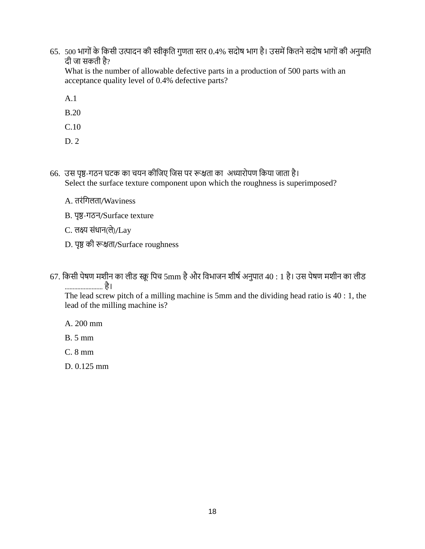65. 500 भागों के किसी उत्पादन की स्वीकृति गुणता स्तर 0.4% सदोष भाग है। उसमें कितने सदोष भागों की अनुमति दी जा सकती है?

What is the number of allowable defective parts in a production of 500 parts with an acceptance quality level of 0.4% defective parts?

A.1

B.20

C.10

- D. 2
- 66. उस पृष्ठ-गठन घटक का चयन कीजिए जिस पर रूक्षता का अध्यारोपण किया जाता है। Select the surface texture component upon which the roughness is superimposed?
	- A. तरंगिलता/Waviness
	- B. पृष्ठ-गठन/Surface texture
	- C. लक्ष्य संधान(ले)/Lay
	- D. पृष्ठ की रूक्षता/Surface roughness
- 67. किसी पेषण मशीन का लीड स्क्रू पिच 5mm है और विभाजन शीर्ष अनुपात 40 : 1 है। उस पेषण मशीन का लीड ........................ है।

The lead screw pitch of a milling machine is 5mm and the dividing head ratio is 40 : 1, the lead of the milling machine is?

A. 200 mm

B. 5 mm

C. 8 mm

D. 0.125 mm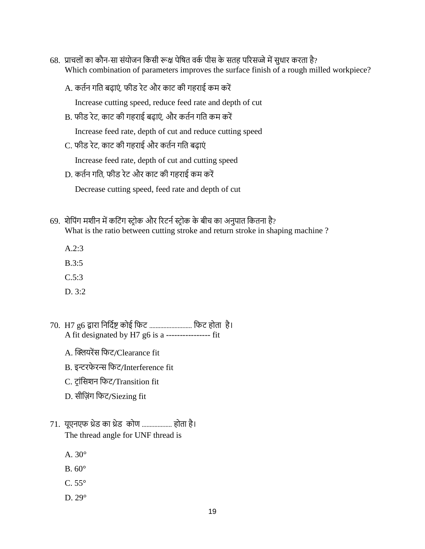- 68. प्राचलों का कौन-सा संयोजन किसी रूक्ष पेषित वर्क पीस के सतह परिसज्जे में सुधार करता है? Which combination of parameters improves the surface finish of a rough milled workpiece?
	- A. कर्तन गति बढ़ाएं, फीड रेट और काट की गहराई कम करें

Increase cutting speed, reduce feed rate and depth of cut

- B. फीड रेट, काट की गहराई बढाएं, और कर्तन गति कम करें Increase feed rate, depth of cut and reduce cutting speed
- C. फीड रेट, काट की गहराई और कर्तन गति बढाएं

Increase feed rate, depth of cut and cutting speed

D. कर्तन गति, फीड रेट और काट की गहराई कम करें

Decrease cutting speed, feed rate and depth of cut

- 69. शेपिंग मशीन में कटिंग स्ट्रोक और रिटर्न स्ट्रोक के बीच का अनुपात कितना है? What is the ratio between cutting stroke and return stroke in shaping machine ?
	- A.2:3
	- B.3:5
	- C.5:3
	- D.  $3:2$
- 70. H7 g6 द्वारा निर्दिष्ट कोई फिट ............................. फिट होता है। A fit designated by H7 g6 is a ---------------- fit
	- A. खक्लयरेंस नफट/Clearance fit
	- B. इन्टरफेरन्स फिट/Interference fit
	- C. ट्रांसिशन फिट/Transition fit
	- D. सीज़िंग फिट/Siezing fit
- 71. यूएनएफ थ्रेड का थ्रेड कोण .................... होता है। The thread angle for UNF thread is
	- A. 30°
	- B. 60°
	- $C. 55^\circ$
	- D. 29°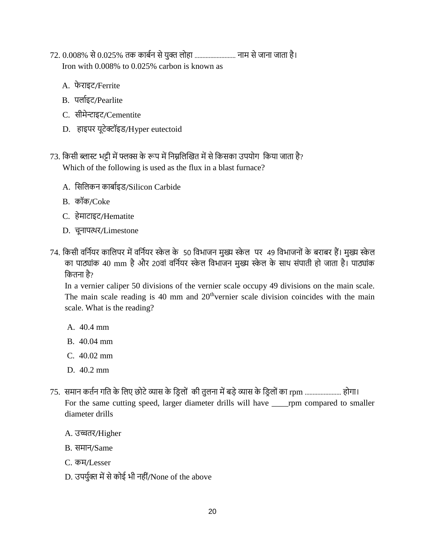- $72. 0.008\%$  से  $0.025\%$  तक कार्बन से युक्त लोहा ............................ नाम से जाना जाता है। Iron with 0.008% to 0.025% carbon is known as
	- A. फेराइट/Ferrite
	- B. पर्लाइट/Pearlite
	- C. सीमेन्टाइट/Cementite
	- D. हाइपर यूटेक्टॉइड/Hyper eutectoid
- 73. किसी ब्लास्ट भट्टी में फ्लक्स के रूप में निम्नलिखित में से किसका उपयोग किया जाता है? Which of the following is used as the flux in a blast furnace?
	- A. सिलिकन कार्बाइड/Silicon Carbide
	- B. कॉक/Coke
	- C. हेमाटाइट/Hematite
	- D. चूनापत्थर/Limestone
- 74. किसी वर्नियर कालिपर में वर्नियर स्केल के 50 विभाजन मुख्य स्केल पर 49 विभाजनों के बराबर हैं। मुख्य स्केल का पाठ्यांक 40 mm है और 20वां वर्नियर स्केल विभाजन मुख्य स्केल के साथ संपाती हो जाता है। पाठ्यांक कितना है?

In a vernier caliper 50 divisions of the vernier scale occupy 49 divisions on the main scale. The main scale reading is 40 mm and  $20<sup>th</sup>$  vernier scale division coincides with the main scale. What is the reading?

- A. 40.4 mm
- B. 40.04 mm
- C. 40.02 mm
- D. 40.2 mm
- 75. समान कर्तन गति के लिए छोटे व्यास के ड़िलों की तुलना में बड़े व्यास के ड़िलों का rpm ......................... होगा। For the same cutting speed, larger diameter drills will have \_\_\_\_rpm compared to smaller diameter drills
	- A. उच्चतर/Higher
	- B. समान/Same
	- C. कम/Lesser
	- D. उपर्युक्त में से कोई भी नहीं/None of the above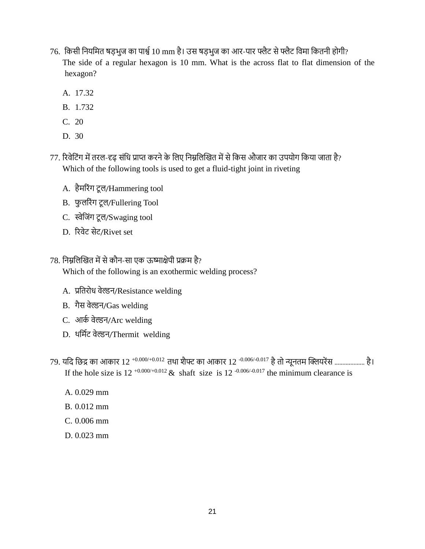- 76. किसी नियमित षड़भुज का पार्श्व 10 mm है। उस षड़भुज का आर-पार फ्लैट से फ्लैट विमा कितनी होगी? The side of a regular hexagon is 10 mm. What is the across flat to flat dimension of the hexagon?
	- A. 17.32
	- B. 1.732
	- C. 20
	- D. 30
- 77. रिवेटिंग में तरल-दृढ संधि प्राप्त करने के लिए निम्नलिखित में से किस औजार का उपयोग किया जाता है? Which of the following tools is used to get a fluid-tight joint in riveting
	- A. हैमरिंग टूल/Hammering tool
	- B. फुलरिंग टूल/Fullering Tool
	- C. स्वेजिंग टूल/Swaging tool
	- D. ररवेट सेट/Rivet set
- 78. निम्नलिखित में से कौन-सा एक ऊष्माक्षेपी प्रक्रम है? Which of the following is an exothermic welding process?
	- A. प्रतिरोध वेल्डन/Resistance welding
	- B. गैस वेल्डन/Gas welding
	- C. आर्क वेल्डन/Arc welding
	- D. थर्मिट वेल्डन/Thermit welding
- $79.$  यदि छिद्र का आकार  $12^{+0.000/+0.012}$  तथा शैफ्ट का आकार  $12^{-0.006/0.017}$  है तो न्यूनतम क्लियरेंस ..................... है। If the hole size is  $12^{+0.000/+0.012}$  & shaft size is  $12^{-0.006/-0.017}$  the minimum clearance is
	- A. 0.029 mm
	- B. 0.012 mm
	- C. 0.006 mm
	- D. 0.023 mm